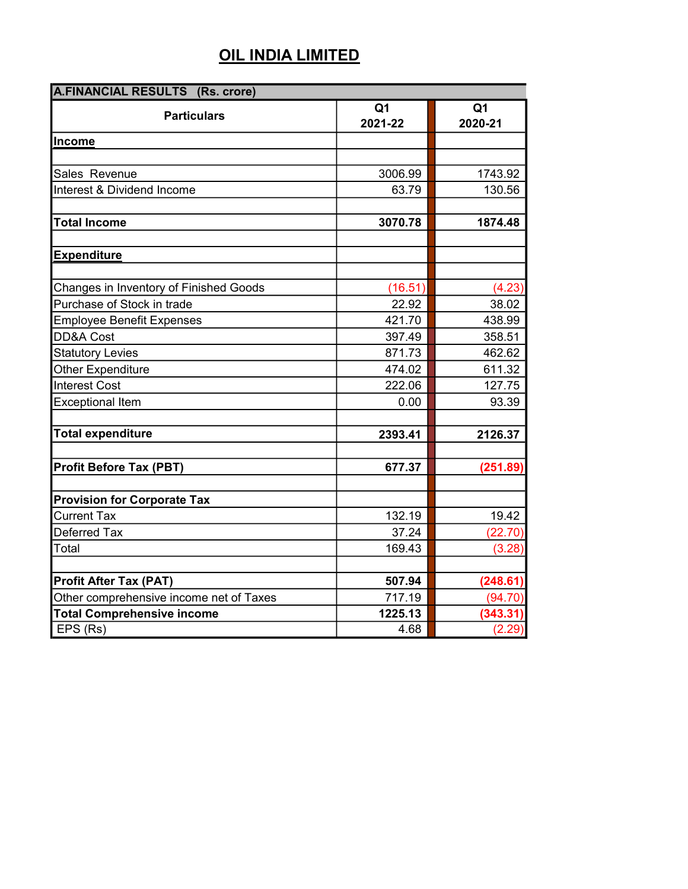| <b>A.FINANCIAL RESULTS (Rs. crore)</b>  |                           |                           |  |
|-----------------------------------------|---------------------------|---------------------------|--|
| <b>Particulars</b>                      | Q <sub>1</sub><br>2021-22 | Q <sub>1</sub><br>2020-21 |  |
| <b>Income</b>                           |                           |                           |  |
|                                         |                           |                           |  |
| Sales Revenue                           | 3006.99                   | 1743.92                   |  |
| Interest & Dividend Income              | 63.79                     | 130.56                    |  |
|                                         |                           |                           |  |
| <b>Total Income</b>                     | 3070.78                   | 1874.48                   |  |
|                                         |                           |                           |  |
| <b>Expenditure</b>                      |                           |                           |  |
|                                         |                           |                           |  |
| Changes in Inventory of Finished Goods  | (16.51)                   | (4.23)                    |  |
| Purchase of Stock in trade              | 22.92                     | 38.02                     |  |
| <b>Employee Benefit Expenses</b>        | 421.70                    | 438.99                    |  |
| <b>DD&amp;A Cost</b>                    | 397.49                    | 358.51                    |  |
| <b>Statutory Levies</b>                 | 871.73                    | 462.62                    |  |
| Other Expenditure                       | 474.02                    | 611.32                    |  |
| <b>Interest Cost</b>                    | 222.06                    | 127.75                    |  |
| <b>Exceptional Item</b>                 | 0.00                      | 93.39                     |  |
|                                         |                           |                           |  |
| <b>Total expenditure</b>                | 2393.41                   | 2126.37                   |  |
|                                         |                           |                           |  |
| Profit Before Tax (PBT)                 | 677.37                    | (251.89)                  |  |
| <b>Provision for Corporate Tax</b>      |                           |                           |  |
| <b>Current Tax</b>                      | 132.19                    | 19.42                     |  |
| Deferred Tax                            | 37.24                     | (22.70)                   |  |
| Total                                   | 169.43                    | (3.28)                    |  |
|                                         |                           |                           |  |
| <b>Profit After Tax (PAT)</b>           | 507.94                    | (248.61)                  |  |
| Other comprehensive income net of Taxes | 717.19                    | (94.70)                   |  |
| <b>Total Comprehensive income</b>       | 1225.13                   | (343.31)                  |  |
| EPS (Rs)                                | 4.68                      | (2.29)                    |  |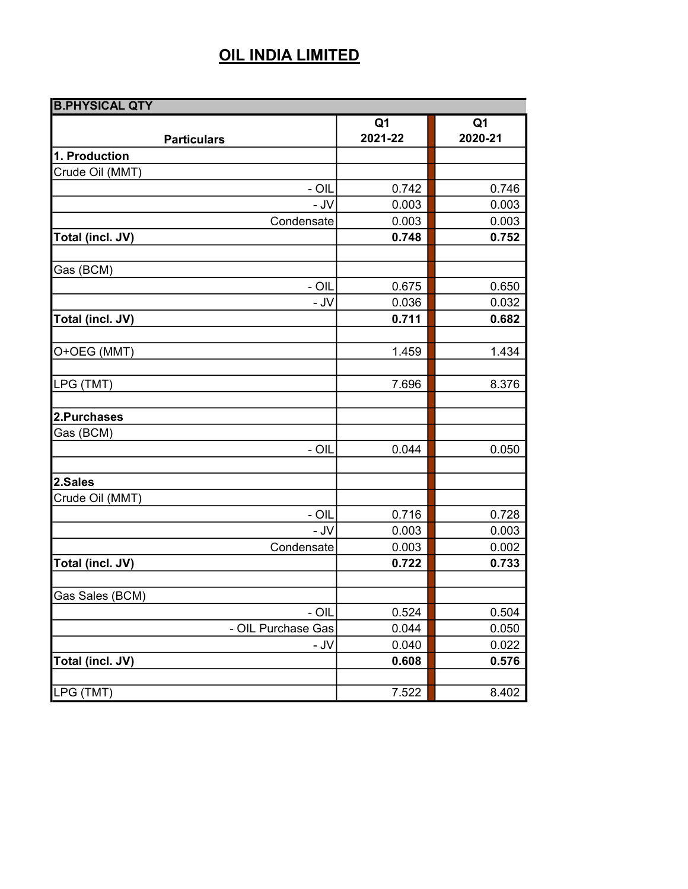| <b>B.PHYSICAL QTY</b> |                |                |
|-----------------------|----------------|----------------|
|                       | Q <sub>1</sub> | Q <sub>1</sub> |
| <b>Particulars</b>    | 2021-22        | 2020-21        |
| 1. Production         |                |                |
| Crude Oil (MMT)       |                |                |
| - OIL                 | 0.742          | 0.746          |
| $-$ JV                | 0.003          | 0.003          |
| Condensate            | 0.003          | 0.003          |
| Total (incl. JV)      | 0.748          | 0.752          |
|                       |                |                |
| Gas (BCM)             |                |                |
| - OIL                 | 0.675          | 0.650          |
| - JV                  | 0.036          | 0.032          |
| Total (incl. JV)      | 0.711          | 0.682          |
|                       |                |                |
| O+OEG (MMT)           | 1.459          | 1.434          |
|                       |                |                |
| LPG (TMT)             | 7.696          | 8.376          |
|                       |                |                |
| 2.Purchases           |                |                |
| Gas (BCM)             |                |                |
| - OIL                 | 0.044          | 0.050          |
|                       |                |                |
| 2.Sales               |                |                |
| Crude Oil (MMT)       |                |                |
| - OIL                 | 0.716          | 0.728          |
| - JV                  | 0.003          | 0.003          |
| Condensate            | 0.003          | 0.002          |
| Total (incl. JV)      | 0.722          | 0.733          |
|                       |                |                |
| Gas Sales (BCM)       |                |                |
| - OIL                 | 0.524          | 0.504          |
| - OIL Purchase Gas    | 0.044          | 0.050          |
| - JV                  | 0.040          | 0.022          |
| Total (incl. JV)      | 0.608          | 0.576          |
|                       |                |                |
| LPG (TMT)             | 7.522          | 8.402          |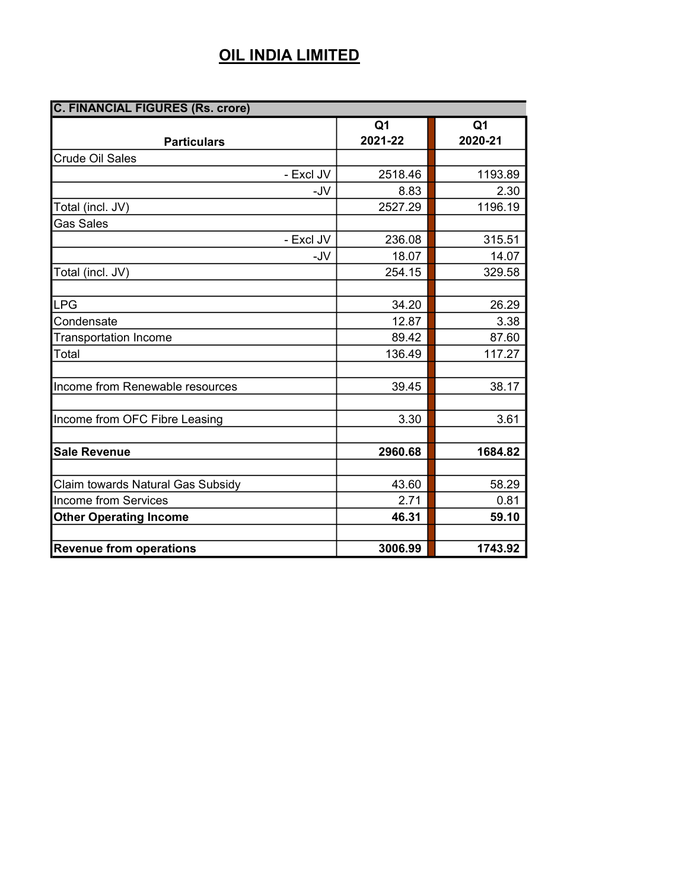| <b>C. FINANCIAL FIGURES (Rs. crore)</b> |                |                |  |
|-----------------------------------------|----------------|----------------|--|
|                                         | Q <sub>1</sub> | Q <sub>1</sub> |  |
| <b>Particulars</b>                      | 2021-22        | 2020-21        |  |
| <b>Crude Oil Sales</b>                  |                |                |  |
| - Excl JV                               | 2518.46        | 1193.89        |  |
| -JV                                     | 8.83           | 2.30           |  |
| Total (incl. JV)                        | 2527.29        | 1196.19        |  |
| <b>Gas Sales</b>                        |                |                |  |
| - Excl JV                               | 236.08         | 315.51         |  |
| -JV                                     | 18.07          | 14.07          |  |
| Total (incl. JV)                        | 254.15         | 329.58         |  |
|                                         |                |                |  |
| LPG                                     | 34.20          | 26.29          |  |
| Condensate                              | 12.87          | 3.38           |  |
| <b>Transportation Income</b>            | 89.42          | 87.60          |  |
| Total                                   | 136.49         | 117.27         |  |
|                                         |                |                |  |
| Income from Renewable resources         | 39.45          | 38.17          |  |
|                                         |                |                |  |
| Income from OFC Fibre Leasing           | 3.30           | 3.61           |  |
|                                         |                |                |  |
| <b>Sale Revenue</b>                     | 2960.68        | 1684.82        |  |
|                                         |                |                |  |
| Claim towards Natural Gas Subsidy       | 43.60          | 58.29          |  |
| Income from Services                    | 2.71           | 0.81           |  |
| <b>Other Operating Income</b>           | 46.31          | 59.10          |  |
|                                         |                |                |  |
| <b>Revenue from operations</b>          | 3006.99        | 1743.92        |  |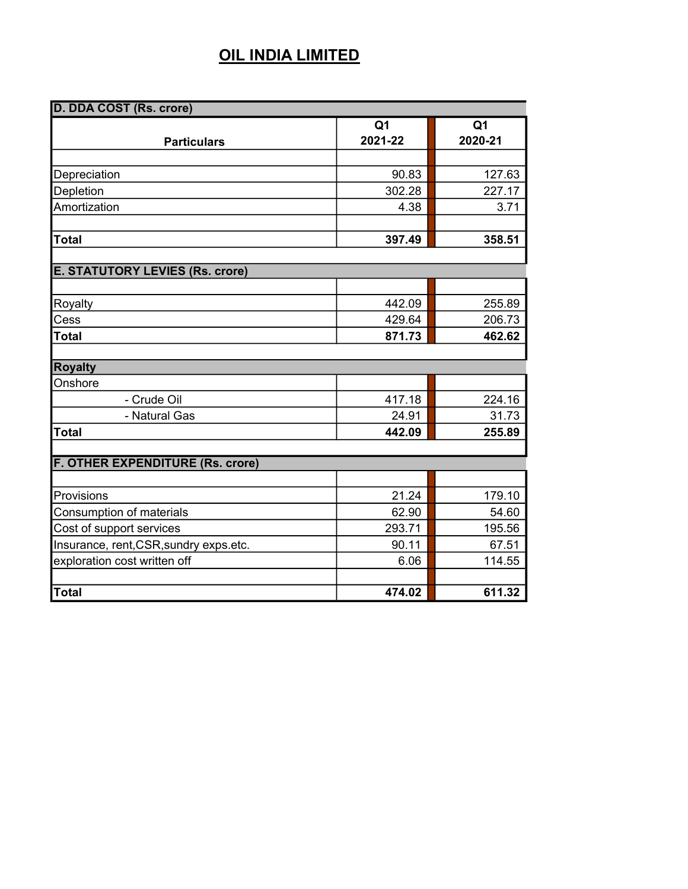| D. DDA COST (Rs. crore)                 |                           |                           |
|-----------------------------------------|---------------------------|---------------------------|
| <b>Particulars</b>                      | Q <sub>1</sub><br>2021-22 | Q <sub>1</sub><br>2020-21 |
|                                         |                           |                           |
| Depreciation                            | 90.83                     | 127.63                    |
| Depletion                               | 302.28                    | 227.17                    |
| Amortization                            | 4.38                      | 3.71                      |
| <b>T</b> otal                           | 397.49                    | 358.51                    |
| <b>E. STATUTORY LEVIES (Rs. crore)</b>  |                           |                           |
|                                         |                           |                           |
| Royalty                                 | 442.09                    | 255.89                    |
| Cess                                    | 429.64                    | 206.73                    |
| Total                                   | 871.73                    | 462.62                    |
|                                         |                           |                           |
| <b>Royalty</b>                          |                           |                           |
| Onshore                                 |                           |                           |
| - Crude Oil                             | 417.18                    | 224.16                    |
| - Natural Gas                           | 24.91                     | 31.73                     |
| <b>Total</b>                            | 442.09                    | 255.89                    |
| <b>F. OTHER EXPENDITURE (Rs. crore)</b> |                           |                           |
|                                         |                           |                           |
| Provisions                              | 21.24                     | 179.10                    |
| Consumption of materials                | 62.90                     | 54.60                     |
| Cost of support services                | 293.71                    | 195.56                    |
| Insurance, rent, CSR, sundry exps.etc.  | 90.11                     | 67.51                     |
| exploration cost written off            | 6.06                      | 114.55                    |
|                                         |                           |                           |
| Total                                   | 474.02                    | 611.32                    |